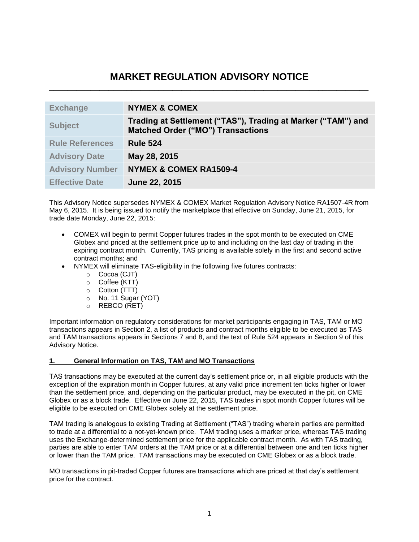# **MARKET REGULATION ADVISORY NOTICE \_\_\_\_\_\_\_\_\_\_\_\_\_\_\_\_\_\_\_\_\_\_\_\_\_\_\_\_\_\_\_\_\_\_\_\_\_\_\_\_\_\_\_\_\_\_\_\_\_\_\_\_\_\_\_\_\_\_\_\_\_\_\_\_\_\_\_\_\_\_**

| <b>Exchange</b>        | <b>NYMEX &amp; COMEX</b>                                                                                 |
|------------------------|----------------------------------------------------------------------------------------------------------|
| <b>Subject</b>         | Trading at Settlement ("TAS"), Trading at Marker ("TAM") and<br><b>Matched Order ("MO") Transactions</b> |
| <b>Rule References</b> | <b>Rule 524</b>                                                                                          |
| <b>Advisory Date</b>   | May 28, 2015                                                                                             |
| <b>Advisory Number</b> | <b>NYMEX &amp; COMEX RA1509-4</b>                                                                        |
| <b>Effective Date</b>  | June 22, 2015                                                                                            |

This Advisory Notice supersedes NYMEX & COMEX Market Regulation Advisory Notice RA1507-4R from May 6, 2015. It is being issued to notify the marketplace that effective on Sunday, June 21, 2015, for trade date Monday, June 22, 2015:

- COMEX will begin to permit Copper futures trades in the spot month to be executed on CME Globex and priced at the settlement price up to and including on the last day of trading in the expiring contract month. Currently, TAS pricing is available solely in the first and second active contract months; and
- NYMEX will eliminate TAS-eligibility in the following five futures contracts:
	- o Cocoa (CJT)
	- o Coffee (KTT)
	- o Cotton (TTT)
	- o No. 11 Sugar (YOT)
	- o REBCO (RET)

Important information on regulatory considerations for market participants engaging in TAS, TAM or MO transactions appears in Section 2, a list of products and contract months eligible to be executed as TAS and TAM transactions appears in Sections 7 and 8, and the text of Rule 524 appears in Section 9 of this Advisory Notice.

## **1. General Information on TAS, TAM and MO Transactions**

TAS transactions may be executed at the current day's settlement price or, in all eligible products with the exception of the expiration month in Copper futures, at any valid price increment ten ticks higher or lower than the settlement price, and, depending on the particular product, may be executed in the pit, on CME Globex or as a block trade. Effective on June 22, 2015, TAS trades in spot month Copper futures will be eligible to be executed on CME Globex solely at the settlement price.

TAM trading is analogous to existing Trading at Settlement ("TAS") trading wherein parties are permitted to trade at a differential to a not-yet-known price. TAM trading uses a marker price, whereas TAS trading uses the Exchange-determined settlement price for the applicable contract month. As with TAS trading, parties are able to enter TAM orders at the TAM price or at a differential between one and ten ticks higher or lower than the TAM price. TAM transactions may be executed on CME Globex or as a block trade.

MO transactions in pit-traded Copper futures are transactions which are priced at that day's settlement price for the contract.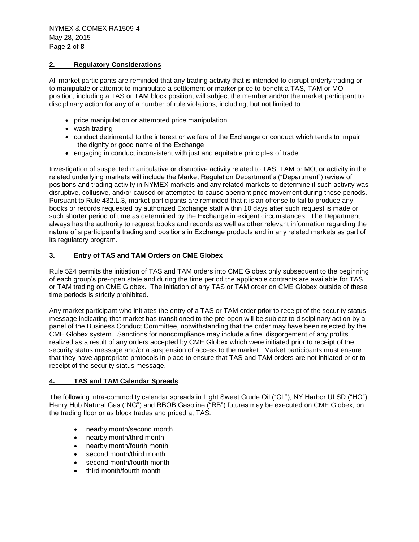### **2. Regulatory Considerations**

All market participants are reminded that any trading activity that is intended to disrupt orderly trading or to manipulate or attempt to manipulate a settlement or marker price to benefit a TAS, TAM or MO position, including a TAS or TAM block position, will subject the member and/or the market participant to disciplinary action for any of a number of rule violations, including, but not limited to:

- price manipulation or attempted price manipulation
- wash trading
- conduct detrimental to the interest or welfare of the Exchange or conduct which tends to impair the dignity or good name of the Exchange
- engaging in conduct inconsistent with just and equitable principles of trade

Investigation of suspected manipulative or disruptive activity related to TAS, TAM or MO, or activity in the related underlying markets will include the Market Regulation Department's ("Department") review of positions and trading activity in NYMEX markets and any related markets to determine if such activity was disruptive, collusive, and/or caused or attempted to cause aberrant price movement during these periods. Pursuant to Rule 432.L.3, market participants are reminded that it is an offense to fail to produce any books or records requested by authorized Exchange staff within 10 days after such request is made or such shorter period of time as determined by the Exchange in exigent circumstances. The Department always has the authority to request books and records as well as other relevant information regarding the nature of a participant's trading and positions in Exchange products and in any related markets as part of its regulatory program.

## **3. Entry of TAS and TAM Orders on CME Globex**

Rule 524 permits the initiation of TAS and TAM orders into CME Globex only subsequent to the beginning of each group's pre-open state and during the time period the applicable contracts are available for TAS or TAM trading on CME Globex. The initiation of any TAS or TAM order on CME Globex outside of these time periods is strictly prohibited.

Any market participant who initiates the entry of a TAS or TAM order prior to receipt of the security status message indicating that market has transitioned to the pre-open will be subject to disciplinary action by a panel of the Business Conduct Committee, notwithstanding that the order may have been rejected by the CME Globex system. Sanctions for noncompliance may include a fine, disgorgement of any profits realized as a result of any orders accepted by CME Globex which were initiated prior to receipt of the security status message and/or a suspension of access to the market. Market participants must ensure that they have appropriate protocols in place to ensure that TAS and TAM orders are not initiated prior to receipt of the security status message.

### **4. TAS and TAM Calendar Spreads**

The following intra-commodity calendar spreads in Light Sweet Crude Oil ("CL"), NY Harbor ULSD ("HO"), Henry Hub Natural Gas ("NG") and RBOB Gasoline ("RB") futures may be executed on CME Globex, on the trading floor or as block trades and priced at TAS:

- nearby month/second month
- nearby month/third month
- nearby month/fourth month
- second month/third month
- second month/fourth month
- third month/fourth month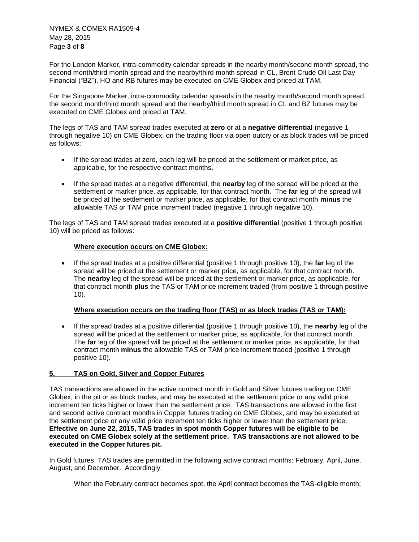NYMEX & COMEX RA1509-4 May 28, 2015 Page **3** of **8**

For the London Marker, intra-commodity calendar spreads in the nearby month/second month spread, the second month/third month spread and the nearby/third month spread in CL, Brent Crude Oil Last Day Financial ("BZ"), HO and RB futures may be executed on CME Globex and priced at TAM.

For the Singapore Marker, intra-commodity calendar spreads in the nearby month/second month spread, the second month/third month spread and the nearby/third month spread in CL and BZ futures may be executed on CME Globex and priced at TAM.

The legs of TAS and TAM spread trades executed at **zero** or at a **negative differential** (negative 1 through negative 10) on CME Globex, on the trading floor via open outcry or as block trades will be priced as follows:

- If the spread trades at zero, each leg will be priced at the settlement or market price, as applicable, for the respective contract months.
- If the spread trades at a negative differential, the **nearby** leg of the spread will be priced at the settlement or marker price, as applicable, for that contract month. The **far** leg of the spread will be priced at the settlement or marker price, as applicable, for that contract month **minus** the allowable TAS or TAM price increment traded (negative 1 through negative 10).

The legs of TAS and TAM spread trades executed at a **positive differential** (positive 1 through positive 10) will be priced as follows:

## **Where execution occurs on CME Globex:**

 If the spread trades at a positive differential (positive 1 through positive 10), the **far** leg of the spread will be priced at the settlement or marker price, as applicable, for that contract month. The **nearby** leg of the spread will be priced at the settlement or marker price, as applicable, for that contract month **plus** the TAS or TAM price increment traded (from positive 1 through positive 10).

## **Where execution occurs on the trading floor (TAS) or as block trades (TAS or TAM):**

 If the spread trades at a positive differential (positive 1 through positive 10), the **nearby** leg of the spread will be priced at the settlement or marker price, as applicable, for that contract month. The **far** leg of the spread will be priced at the settlement or marker price, as applicable, for that contract month **minus** the allowable TAS or TAM price increment traded (positive 1 through positive 10).

### **5. TAS on Gold, Silver and Copper Futures**

TAS transactions are allowed in the active contract month in Gold and Silver futures trading on CME Globex, in the pit or as block trades, and may be executed at the settlement price or any valid price increment ten ticks higher or lower than the settlement price. TAS transactions are allowed in the first and second active contract months in Copper futures trading on CME Globex, and may be executed at the settlement price or any valid price increment ten ticks higher or lower than the settlement price. **Effective on June 22, 2015, TAS trades in spot month Copper futures will be eligible to be executed on CME Globex solely at the settlement price. TAS transactions are not allowed to be executed in the Copper futures pit.**

In Gold futures, TAS trades are permitted in the following active contract months: February, April, June, August, and December. Accordingly:

When the February contract becomes spot, the April contract becomes the TAS-eligible month;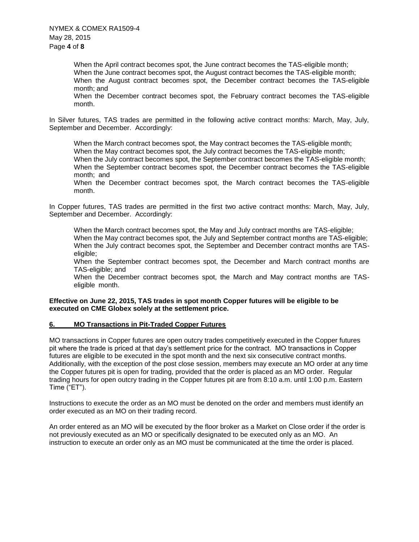When the April contract becomes spot, the June contract becomes the TAS-eligible month; When the June contract becomes spot, the August contract becomes the TAS-eligible month; When the August contract becomes spot, the December contract becomes the TAS-eligible month; and

When the December contract becomes spot, the February contract becomes the TAS-eligible month.

In Silver futures, TAS trades are permitted in the following active contract months: March, May, July, September and December. Accordingly:

When the March contract becomes spot, the May contract becomes the TAS-eligible month; When the May contract becomes spot, the July contract becomes the TAS-eligible month; When the July contract becomes spot, the September contract becomes the TAS-eligible month; When the September contract becomes spot, the December contract becomes the TAS-eligible month; and

When the December contract becomes spot, the March contract becomes the TAS-eligible month.

In Copper futures, TAS trades are permitted in the first two active contract months: March, May, July, September and December. Accordingly:

When the March contract becomes spot, the May and July contract months are TAS-eligible; When the May contract becomes spot, the July and September contract months are TAS-eligible; When the July contract becomes spot, the September and December contract months are TASeligible;

When the September contract becomes spot, the December and March contract months are TAS-eligible; and

When the December contract becomes spot, the March and May contract months are TASeligible month.

### **Effective on June 22, 2015, TAS trades in spot month Copper futures will be eligible to be executed on CME Globex solely at the settlement price.**

### **6. MO Transactions in Pit-Traded Copper Futures**

MO transactions in Copper futures are open outcry trades competitively executed in the Copper futures pit where the trade is priced at that day's settlement price for the contract. MO transactions in Copper futures are eligible to be executed in the spot month and the next six consecutive contract months. Additionally, with the exception of the post close session, members may execute an MO order at any time the Copper futures pit is open for trading, provided that the order is placed as an MO order. Regular trading hours for open outcry trading in the Copper futures pit are from 8:10 a.m. until 1:00 p.m. Eastern Time ("ET").

Instructions to execute the order as an MO must be denoted on the order and members must identify an order executed as an MO on their trading record.

An order entered as an MO will be executed by the floor broker as a Market on Close order if the order is not previously executed as an MO or specifically designated to be executed only as an MO. An instruction to execute an order only as an MO must be communicated at the time the order is placed.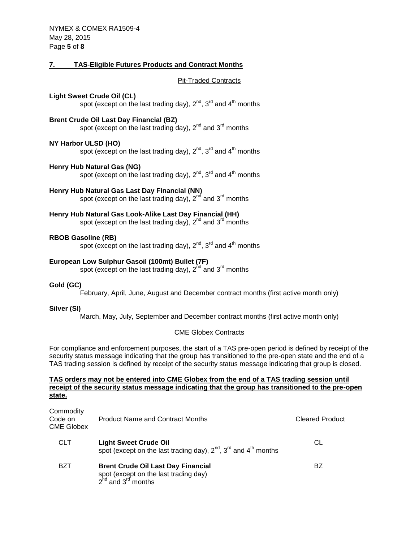## **7. TAS-Eligible Futures Products and Contract Months**

Pit-Traded Contracts

### **Light Sweet Crude Oil (CL)**

spot (except on the last trading day),  $2^{nd}$ ,  $3^{rd}$  and  $4^{th}$  months

## **Brent Crude Oil Last Day Financial (BZ)**

spot (except on the last trading day), 2<sup>nd</sup> and 3<sup>rd</sup> months

## **NY Harbor ULSD (HO)**

spot (except on the last trading day),  $2^{nd}$ ,  $3^{rd}$  and  $4^{th}$  months

### **Henry Hub Natural Gas (NG)**

spot (except on the last trading day),  $2^{nd}$ ,  $3^{rd}$  and  $4^{th}$  months

## **Henry Hub Natural Gas Last Day Financial (NN)**

spot (except on the last trading day),  $2<sup>nd</sup>$  and  $3<sup>rd</sup>$  months

## **Henry Hub Natural Gas Look-Alike Last Day Financial (HH)**

spot (except on the last trading day),  $2^{nd}$  and  $3^{rd}$  months

### **RBOB Gasoline (RB)**

spot (except on the last trading day),  $2^{nd}$ ,  $3^{rd}$  and  $4^{th}$  months

## **European Low Sulphur Gasoil (100mt) Bullet (7F)**

spot (except on the last trading day),  $2^{nd}$  and  $3^{rd}$  months

### **Gold (GC)**

February, April, June, August and December contract months (first active month only)

### **Silver (SI)**

March, May, July, September and December contract months (first active month only)

### CME Globex Contracts

For compliance and enforcement purposes, the start of a TAS pre-open period is defined by receipt of the security status message indicating that the group has transitioned to the pre-open state and the end of a TAS trading session is defined by receipt of the security status message indicating that group is closed.

### **TAS orders may not be entered into CME Globex from the end of a TAS trading session until receipt of the security status message indicating that the group has transitioned to the pre-open state.**

| Commodity<br>Code on<br>CME Globex | <b>Product Name and Contract Months</b>                                                                            | <b>Cleared Product</b> |
|------------------------------------|--------------------------------------------------------------------------------------------------------------------|------------------------|
| <b>CLT</b>                         | <b>Light Sweet Crude Oil</b><br>spot (except on the last trading day), $2^{nd}$ , $3^{rd}$ and $4^{th}$ months     | СL                     |
| BZT                                | <b>Brent Crude Oil Last Day Financial</b><br>spot (except on the last trading day)<br>$2^{nd}$ and $3^{rd}$ months | BZ                     |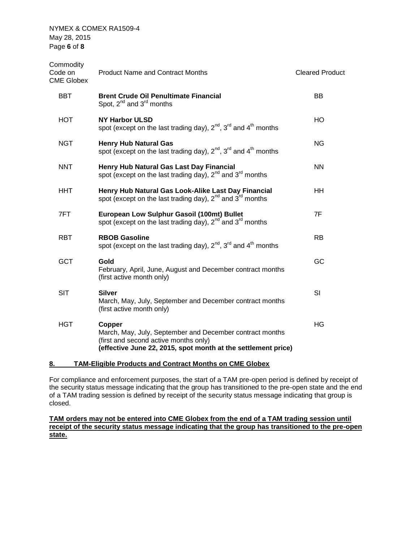NYMEX & COMEX RA1509-4 May 28, 2015 Page **6** of **8**

| Commodity<br>Code on<br><b>CME Globex</b> | <b>Product Name and Contract Months</b>                                                                                                                                      | <b>Cleared Product</b> |
|-------------------------------------------|------------------------------------------------------------------------------------------------------------------------------------------------------------------------------|------------------------|
| BBT                                       | <b>Brent Crude Oil Penultimate Financial</b><br>Spot, $2^{nd}$ and $3^{rd}$ months                                                                                           | <b>BB</b>              |
| HOT                                       | <b>NY Harbor ULSD</b><br>spot (except on the last trading day), $2^{nd}$ , $3^{rd}$ and $4^{th}$ months                                                                      | HO                     |
| <b>NGT</b>                                | <b>Henry Hub Natural Gas</b><br>spot (except on the last trading day), $2^{nd}$ , $3^{rd}$ and $4^{th}$ months                                                               | ΝG                     |
| <b>NNT</b>                                | Henry Hub Natural Gas Last Day Financial<br>spot (except on the last trading day), $2^{nd}$ and $3^{rd}$ months                                                              | <b>NN</b>              |
| HHT.                                      | Henry Hub Natural Gas Look-Alike Last Day Financial<br>spot (except on the last trading day), $2^{nd}$ and $3^{rd}$ months                                                   | HH.                    |
| 7FT                                       | European Low Sulphur Gasoil (100mt) Bullet<br>spot (except on the last trading day), $2^{nd}$ and $3^{rd}$ months                                                            | 7F                     |
| <b>RBT</b>                                | <b>RBOB Gasoline</b><br>spot (except on the last trading day), $2^{nd}$ , $3^{rd}$ and $4^{th}$ months                                                                       | <b>RB</b>              |
| <b>GCT</b>                                | Gold<br>February, April, June, August and December contract months<br>(first active month only)                                                                              | GC                     |
| <b>SIT</b>                                | <b>Silver</b><br>March, May, July, September and December contract months<br>(first active month only)                                                                       | SI                     |
| <b>HGT</b>                                | Copper<br>March, May, July, September and December contract months<br>(first and second active months only)<br>(effective June 22, 2015, spot month at the settlement price) | HG                     |
|                                           |                                                                                                                                                                              |                        |

## **8. TAM-Eligible Products and Contract Months on CME Globex**

For compliance and enforcement purposes, the start of a TAM pre-open period is defined by receipt of the security status message indicating that the group has transitioned to the pre-open state and the end of a TAM trading session is defined by receipt of the security status message indicating that group is closed.

**TAM orders may not be entered into CME Globex from the end of a TAM trading session until receipt of the security status message indicating that the group has transitioned to the pre-open state.**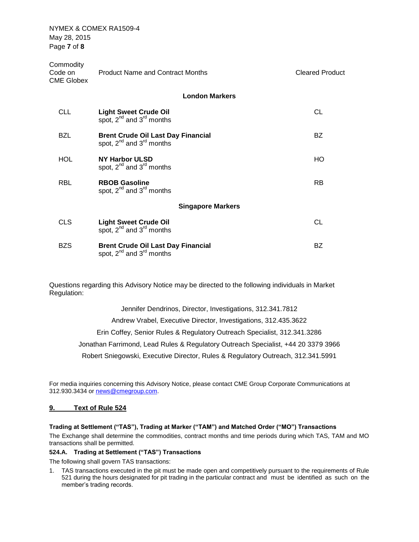NYMEX & COMEX RA1509-4 May 28, 2015 Page **7** of **8**

| Commodity<br>Code on<br><b>CME Globex</b> | <b>Product Name and Contract Months</b>                                                       | <b>Cleared Product</b> |
|-------------------------------------------|-----------------------------------------------------------------------------------------------|------------------------|
|                                           | <b>London Markers</b>                                                                         |                        |
| <b>CLL</b>                                | <b>Light Sweet Crude Oil</b><br>spot, 2 <sup>nd</sup> and 3 <sup>rd</sup> months              | CL                     |
| <b>BZL</b>                                | <b>Brent Crude Oil Last Day Financial</b><br>spot, $2^{nd}$ and $3^{rd}$ months               | <b>BZ</b>              |
| <b>HOL</b>                                | <b>NY Harbor ULSD</b><br>spot, $2^{nd}$ and $3^{rd}$ months                                   | HO                     |
| <b>RBL</b>                                | <b>RBOB Gasoline</b><br>spot, $2^{nd}$ and $3^{rd}$ months                                    | <b>RB</b>              |
|                                           | <b>Singapore Markers</b>                                                                      |                        |
| <b>CLS</b>                                | <b>Light Sweet Crude Oil</b><br>spot, 2 <sup>nd</sup> and 3 <sup>rd</sup> months              | <b>CL</b>              |
| <b>BZS</b>                                | <b>Brent Crude Oil Last Day Financial</b><br>spot, 2 <sup>nd</sup> and 3 <sup>rd</sup> months | BZ                     |

Questions regarding this Advisory Notice may be directed to the following individuals in Market Regulation:

> Jennifer Dendrinos, Director, Investigations, 312.341.7812 Andrew Vrabel, Executive Director, Investigations, 312.435.3622 Erin Coffey, Senior Rules & Regulatory Outreach Specialist, 312.341.3286 Jonathan Farrimond, Lead Rules & Regulatory Outreach Specialist, +44 20 3379 3966 Robert Sniegowski, Executive Director, Rules & Regulatory Outreach, 312.341.5991

For media inquiries concerning this Advisory Notice, please contact CME Group Corporate Communications at 312.930.3434 or [news@cmegroup.com.](mailto:news@cmegroup.com)

### **9. Text of Rule 524**

### **Trading at Settlement ("TAS"), Trading at Marker ("TAM") and Matched Order ("MO") Transactions**

The Exchange shall determine the commodities, contract months and time periods during which TAS, TAM and MO transactions shall be permitted.

## **524.A. Trading at Settlement ("TAS") Transactions**

The following shall govern TAS transactions:

1. TAS transactions executed in the pit must be made open and competitively pursuant to the requirements of Rule 521 during the hours designated for pit trading in the particular contract and must be identified as such on the member's trading records.